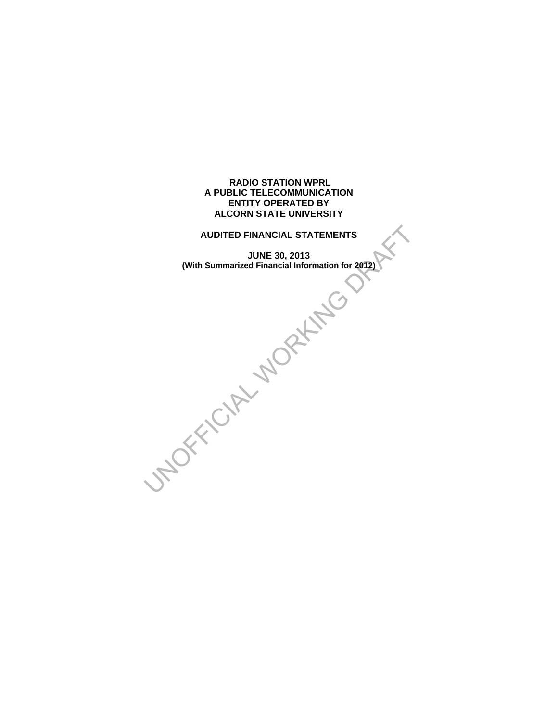**RADIO STATION WPRL A PUBLIC TELECOMMUNICATION ENTITY OPERATED BY ALCORN STATE UNIVERSITY**

#### **AUDITED FINANCIAL STATEMENTS**

**JUNE 30, 2013 (With Summarized Financial Information for 2012)**

AUDITED FINANCIAL STATEMENTS<br>
JUNE 30, 2013<br>
(With Summarized Financial Information for 2012)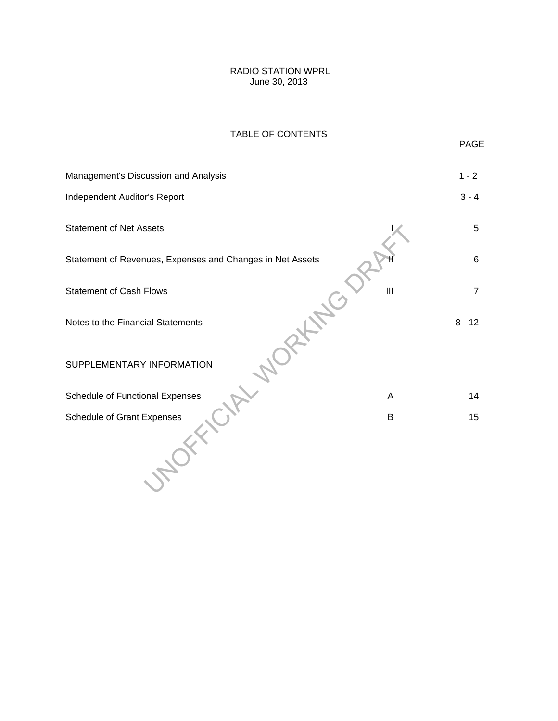# RADIO STATION WPRL June 30, 2013

# TABLE OF CONTENTS

| Management's Discussion and Analysis                      |     | $1 - 2$        |
|-----------------------------------------------------------|-----|----------------|
| Independent Auditor's Report                              |     | $3 - 4$        |
| <b>Statement of Net Assets</b>                            |     | 5              |
| Statement of Revenues, Expenses and Changes in Net Assets |     | 6              |
| <b>Statement of Cash Flows</b>                            | III | $\overline{7}$ |
| Notes to the Financial Statements                         |     | $8 - 12$       |
| SUPPLEMENTARY INFORMATION                                 |     |                |
| Schedule of Functional Expenses                           | A   | 14             |
| <b>Schedule of Grant Expenses</b>                         | B   | 15             |
|                                                           |     |                |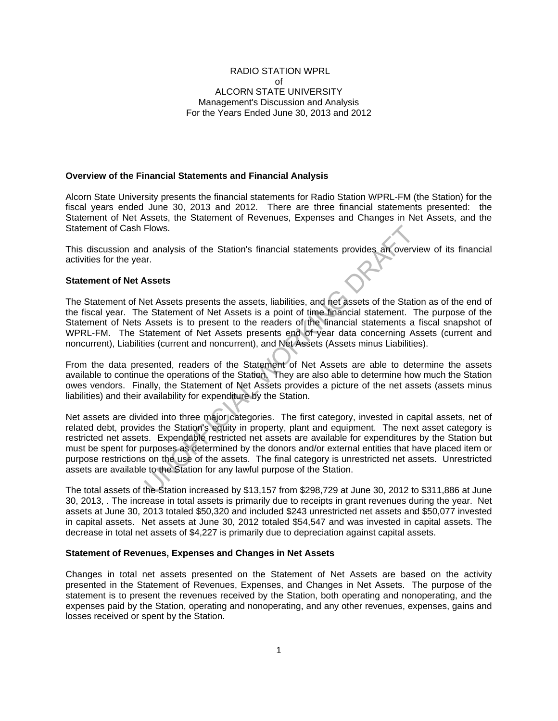#### RADIO STATION WPRL of ALCORN STATE UNIVERSITY Management's Discussion and Analysis For the Years Ended June 30, 2013 and 2012

#### **Overview of the Financial Statements and Financial Analysis**

Alcorn State University presents the financial statements for Radio Station WPRL-FM (the Station) for the fiscal years ended June 30, 2013 and 2012. There are three financial statements presented: the Statement of Net Assets, the Statement of Revenues, Expenses and Changes in Net Assets, and the Statement of Cash Flows.

This discussion and analysis of the Station's financial statements provides an overview of its financial activities for the year.

#### **Statement of Net Assets**

The Statement of Net Assets presents the assets, liabilities, and net assets of the Station as of the end of the fiscal year. The Statement of Net Assets is a point of time financial statement. The purpose of the Statement of Nets Assets is to present to the readers of the financial statements a fiscal snapshot of WPRL-FM. The Statement of Net Assets presents end of year data concerning Assets (current and noncurrent), Liabilities (current and noncurrent), and Net Assets (Assets minus Liabilities).

From the data presented, readers of the Statement of Net Assets are able to determine the assets available to continue the operations of the Station. They are also able to determine how much the Station owes vendors. Finally, the Statement of Net Assets provides a picture of the net assets (assets minus liabilities) and their availability for expenditure by the Station.

Net assets are divided into three major categories. The first category, invested in capital assets, net of related debt, provides the Station's equity in property, plant and equipment. The next asset category is restricted net assets. Expendable restricted net assets are available for expenditures by the Station but must be spent for purposes as determined by the donors and/or external entities that have placed item or purpose restrictions on the use of the assets. The final category is unrestricted net assets. Unrestricted assets are available to the Station for any lawful purpose of the Station. Flows.<br>
Ed analysis of the Station's financial statements provides an overar.<br>
Assets<br>
let Assets presents the assets, liabilities, and net assets of the Statement of Net Assets is a point of time financial statement.<br>
Ass

The total assets of the Station increased by \$13,157 from \$298,729 at June 30, 2012 to \$311,886 at June 30, 2013, . The increase in total assets is primarily due to receipts in grant revenues during the year. Net assets at June 30, 2013 totaled \$50,320 and included \$243 unrestricted net assets and \$50,077 invested in capital assets. Net assets at June 30, 2012 totaled \$54,547 and was invested in capital assets. The decrease in total net assets of \$4,227 is primarily due to depreciation against capital assets.

#### **Statement of Revenues, Expenses and Changes in Net Assets**

Changes in total net assets presented on the Statement of Net Assets are based on the activity presented in the Statement of Revenues, Expenses, and Changes in Net Assets. The purpose of the statement is to present the revenues received by the Station, both operating and nonoperating, and the expenses paid by the Station, operating and nonoperating, and any other revenues, expenses, gains and losses received or spent by the Station.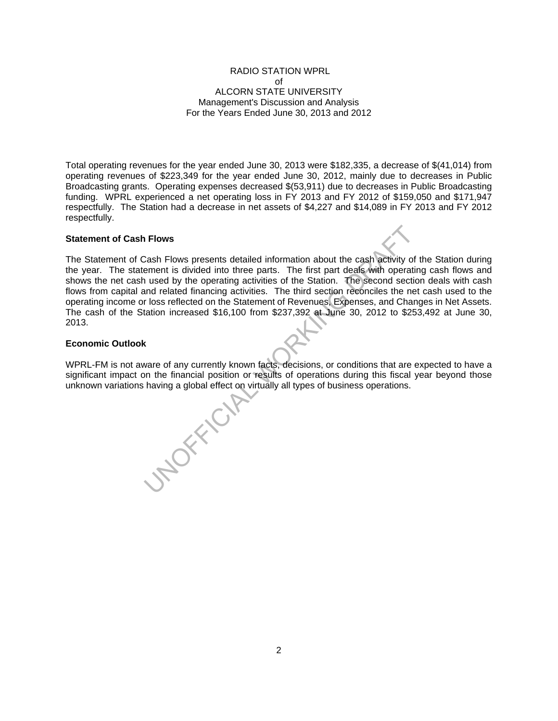#### RADIO STATION WPRL of ALCORN STATE UNIVERSITY Management's Discussion and Analysis For the Years Ended June 30, 2013 and 2012

Total operating revenues for the year ended June 30, 2013 were \$182,335, a decrease of \$(41,014) from operating revenues of \$223,349 for the year ended June 30, 2012, mainly due to decreases in Public Broadcasting grants. Operating expenses decreased \$(53,911) due to decreases in Public Broadcasting funding. WPRL experienced a net operating loss in FY 2013 and FY 2012 of \$159,050 and \$171,947 respectfully. The Station had a decrease in net assets of \$4,227 and \$14,089 in FY 2013 and FY 2012 respectfully.

#### **Statement of Cash Flows**

The Statement of Cash Flows presents detailed information about the cash activity of the Station during the year. The statement is divided into three parts. The first part deals with operating cash flows and shows the net cash used by the operating activities of the Station. The second section deals with cash flows from capital and related financing activities. The third section reconciles the net cash used to the operating income or loss reflected on the Statement of Revenues, Expenses, and Changes in Net Assets. The cash of the Station increased \$16,100 from \$237,392 at June 30, 2012 to \$253,492 at June 30, 2013.

#### **Economic Outlook**

WPRL-FM is not aware of any currently known facts, decisions, or conditions that are expected to have a significant impact on the financial position or results of operations during this fiscal year beyond those unknown variations having a global effect on virtually all types of business operations.

**NOFFICIAL WORKING**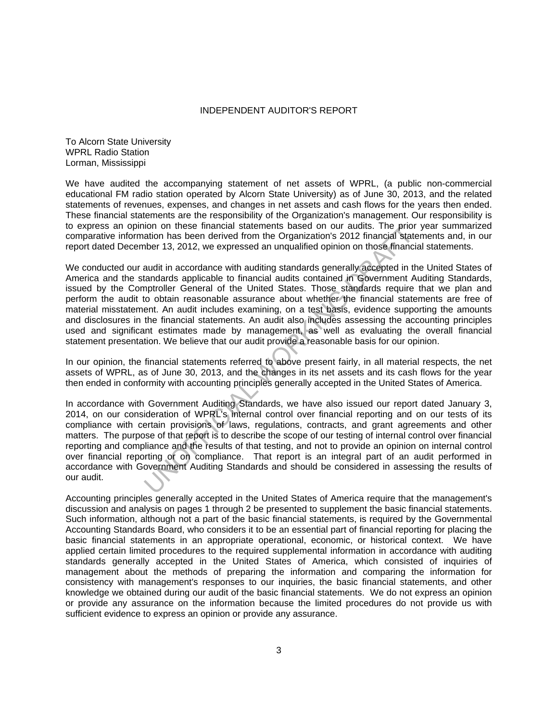#### INDEPENDENT AUDITOR'S REPORT

To Alcorn State University WPRL Radio Station Lorman, Mississippi

We have audited the accompanying statement of net assets of WPRL, (a public non-commercial educational FM radio station operated by Alcorn State University) as of June 30, 2013, and the related statements of revenues, expenses, and changes in net assets and cash flows for the years then ended. These financial statements are the responsibility of the Organization's management. Our responsibility is to express an opinion on these financial statements based on our audits. The prior year summarized comparative information has been derived from the Organization's 2012 financial statements and, in our report dated December 13, 2012, we expressed an unqualified opinion on those financial statements.

We conducted our audit in accordance with auditing standards generally accepted in the United States of America and the standards applicable to financial audits contained in Government Auditing Standards, issued by the Comptroller General of the United States. Those standards require that we plan and perform the audit to obtain reasonable assurance about whether the financial statements are free of material misstatement. An audit includes examining, on a test basis, evidence supporting the amounts and disclosures in the financial statements. An audit also includes assessing the accounting principles used and significant estimates made by management, as well as evaluating the overall financial statement presentation. We believe that our audit provide a reasonable basis for our opinion.

In our opinion, the financial statements referred to above present fairly, in all material respects, the net assets of WPRL, as of June 30, 2013, and the changes in its net assets and its cash flows for the year then ended in conformity with accounting principles generally accepted in the United States of America.

In accordance with Government Auditing Standards, we have also issued our report dated January 3, 2014, on our consideration of WPRL's internal control over financial reporting and on our tests of its compliance with certain provisions of laws, regulations, contracts, and grant agreements and other matters. The purpose of that report is to describe the scope of our testing of internal control over financial reporting and compliance and the results of that testing, and not to provide an opinion on internal control over financial reporting or on compliance. That report is an integral part of an audit performed in accordance with Government Auditing Standards and should be considered in assessing the results of our audit. non on these intantial statements based on our autous. The prioridical station has been derived from the Organization's 2012 financial statior 13, 2012, we expressed an unqualified opinion on those finance and the 13, 2012

Accounting principles generally accepted in the United States of America require that the management's discussion and analysis on pages 1 through 2 be presented to supplement the basic financial statements. Such information, although not a part of the basic financial statements, is required by the Governmental Accounting Standards Board, who considers it to be an essential part of financial reporting for placing the basic financial statements in an appropriate operational, economic, or historical context. We have applied certain limited procedures to the required supplemental information in accordance with auditing standards generally accepted in the United States of America, which consisted of inquiries of management about the methods of preparing the information and comparing the information for consistency with management's responses to our inquiries, the basic financial statements, and other knowledge we obtained during our audit of the basic financial statements. We do not express an opinion or provide any assurance on the information because the limited procedures do not provide us with sufficient evidence to express an opinion or provide any assurance.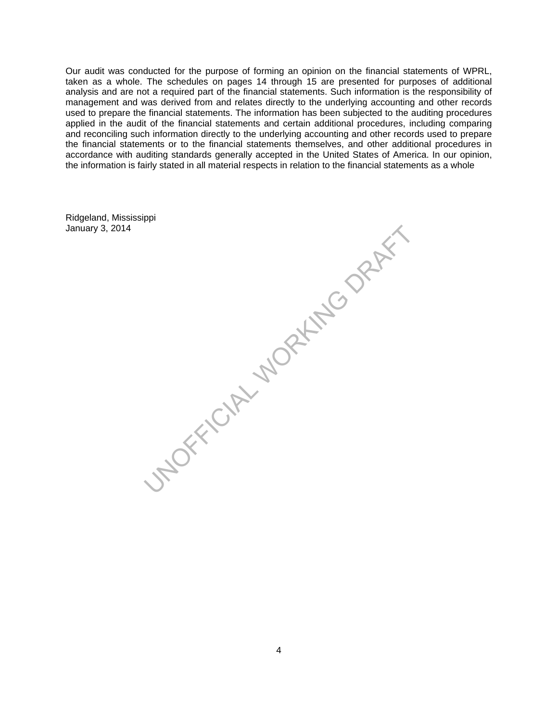Our audit was conducted for the purpose of forming an opinion on the financial statements of WPRL, taken as a whole. The schedules on pages 14 through 15 are presented for purposes of additional analysis and are not a required part of the financial statements. Such information is the responsibility of management and was derived from and relates directly to the underlying accounting and other records used to prepare the financial statements. The information has been subjected to the auditing procedures applied in the audit of the financial statements and certain additional procedures, including comparing and reconciling such information directly to the underlying accounting and other records used to prepare the financial statements or to the financial statements themselves, and other additional procedures in accordance with auditing standards generally accepted in the United States of America. In our opinion, the information is fairly stated in all material respects in relation to the financial statements as a whole

Ridgeland, Mississippi January 3, 2014

UNOFFICIAL WORKING DRAFT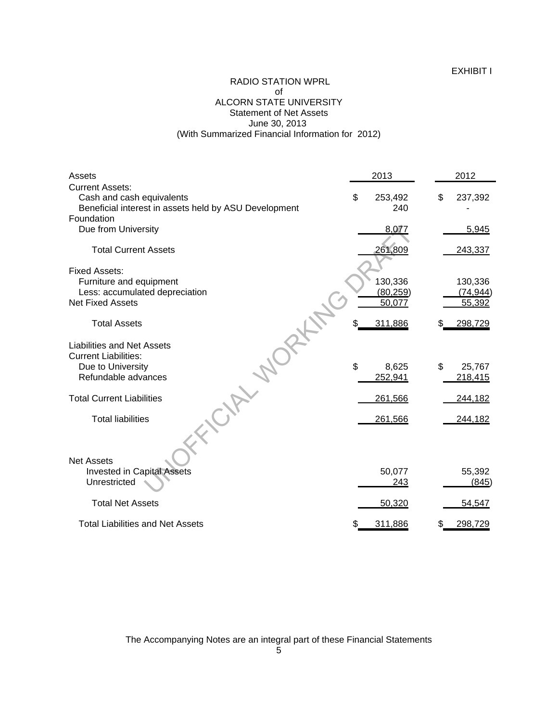## RADIO STATION WPRL of ALCORN STATE UNIVERSITY Statement of Net Assets June 30, 2013 (With Summarized Financial Information for 2012)

| Assets                                                                                                                     | 2013                 | 2012                |
|----------------------------------------------------------------------------------------------------------------------------|----------------------|---------------------|
| <b>Current Assets:</b><br>Cash and cash equivalents<br>Beneficial interest in assets held by ASU Development<br>Foundation | \$<br>253,492<br>240 | \$<br>237,392       |
| Due from University                                                                                                        | 8,077                | 5,945               |
| <b>Total Current Assets</b>                                                                                                | 261,809              | 243,337             |
| <b>Fixed Assets:</b>                                                                                                       |                      |                     |
| Furniture and equipment                                                                                                    | 130,336<br>(80, 259) | 130,336             |
| Less: accumulated depreciation<br><b>Net Fixed Assets</b>                                                                  | 50,077               | (74, 944)<br>55,392 |
| <b>Total Assets</b>                                                                                                        | 311,886              | 298,729             |
| <b>Liabilities and Net Assets</b>                                                                                          |                      |                     |
| <b>Current Liabilities:</b><br>Due to University                                                                           | \$<br>8,625          | \$<br>25,767        |
| Refundable advances                                                                                                        | 252,941              | 218,415             |
| <b>Total Current Liabilities</b>                                                                                           | 261,566              | 244,182             |
| <b>Total liabilities</b>                                                                                                   | 261,566              | 244,182             |
|                                                                                                                            |                      |                     |
| <b>Net Assets</b>                                                                                                          |                      |                     |
| <b>Invested in Capital Assets</b><br>Unrestricted                                                                          | 50,077<br>243        | 55,392<br>(845)     |
| <b>Total Net Assets</b>                                                                                                    | 50,320               | 54,547              |
| <b>Total Liabilities and Net Assets</b>                                                                                    | \$<br>311,886        | 298,729             |

The Accompanying Notes are an integral part of these Financial Statements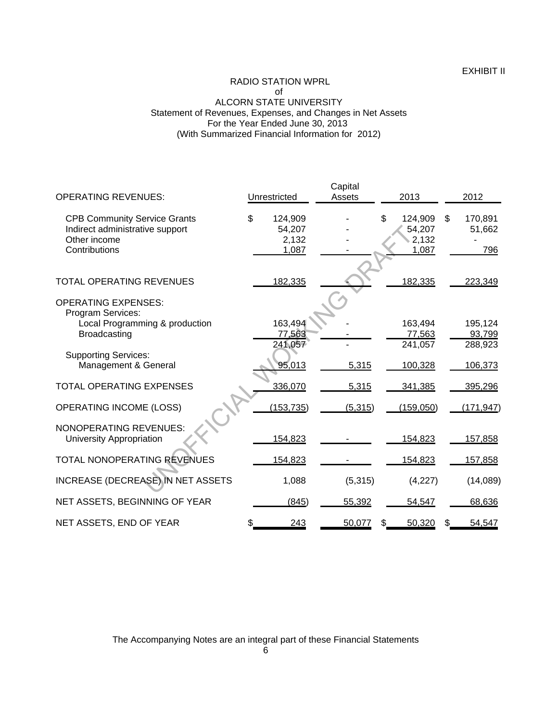## RADIO STATION WPRL of ALCORN STATE UNIVERSITY Statement of Revenues, Expenses, and Changes in Net Assets For the Year Ended June 30, 2013 (With Summarized Financial Information for 2012)

| <b>OPERATING REVENUES:</b>                                                                              | Unrestricted                              | Capital<br>Assets |          | 2013                                      | 2012                           |
|---------------------------------------------------------------------------------------------------------|-------------------------------------------|-------------------|----------|-------------------------------------------|--------------------------------|
| <b>CPB Community Service Grants</b><br>Indirect administrative support<br>Other income<br>Contributions | \$<br>124,909<br>54,207<br>2,132<br>1,087 |                   |          | \$<br>124,909<br>54,207<br>2,132<br>1,087 | \$<br>170,891<br>51,662<br>796 |
| TOTAL OPERATING REVENUES                                                                                | 182,335                                   |                   |          | 182,335                                   | 223,349                        |
| <b>OPERATING EXPENSES:</b><br>Program Services:                                                         |                                           |                   |          |                                           |                                |
| Local Programming & production<br><b>Broadcasting</b>                                                   | 163,494<br>77,563<br>241,057              |                   |          | 163,494<br>77,563<br>241,057              | 195,124<br>93,799<br>288,923   |
| <b>Supporting Services:</b><br>Management & General                                                     | 95,013                                    |                   | 5,315    | 100,328                                   | 106,373                        |
| <b>TOTAL OPERATING EXPENSES</b>                                                                         | 336,070                                   |                   | 5,315    | 341,385                                   | 395,296                        |
| OPERATING INCOME (LOSS)                                                                                 | (153, 735)                                |                   | (5, 315) | (159,050)                                 | (171, 947)                     |
| <b>NONOPERATING REVENUES:</b><br>University Appropriation                                               | 154,823                                   |                   |          | 154,823                                   | 157,858                        |
| TOTAL NONOPERATING REVENUES                                                                             | 154,823                                   |                   |          | 154,823                                   | 157,858                        |
| INCREASE (DECREASE) IN NET ASSETS                                                                       | 1,088                                     |                   | (5,315)  | (4,227)                                   | (14,089)                       |
| NET ASSETS, BEGINNING OF YEAR                                                                           | (845)                                     |                   | 55,392   | 54,547                                    | 68,636                         |
| NET ASSETS, END OF YEAR                                                                                 | 243                                       |                   | 50,077   | 50,320                                    | 54,547                         |

The Accompanying Notes are an integral part of these Financial Statements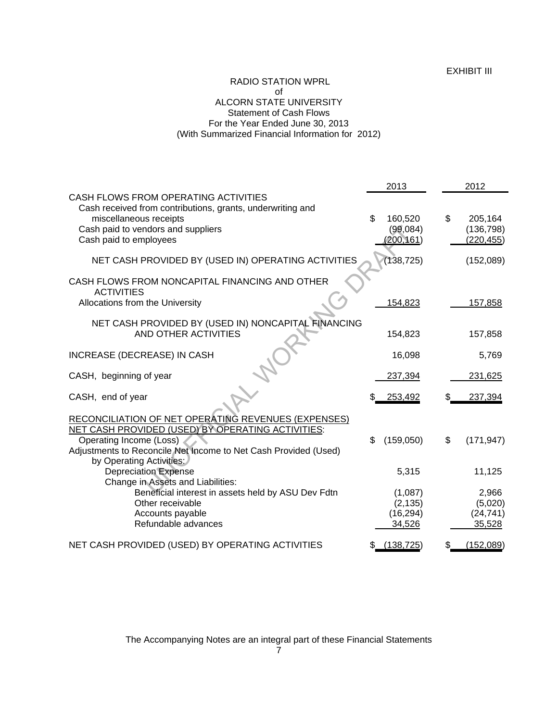## RADIO STATION WPRL of ALCORN STATE UNIVERSITY Statement of Cash Flows For the Year Ended June 30, 2013 (With Summarized Financial Information for 2012)

|                                                                                                    |     | 2013       | 2012             |
|----------------------------------------------------------------------------------------------------|-----|------------|------------------|
| CASH FLOWS FROM OPERATING ACTIVITIES<br>Cash received from contributions, grants, underwriting and |     |            |                  |
| miscellaneous receipts                                                                             | \$  | 160,520    | \$<br>205,164    |
| Cash paid to vendors and suppliers                                                                 |     | (99,084)   | (136, 798)       |
| Cash paid to employees                                                                             |     | (200, 161) | (220, 455)       |
| NET CASH PROVIDED BY (USED IN) OPERATING ACTIVITIES                                                |     | (138, 725) | (152,089)        |
| CASH FLOWS FROM NONCAPITAL FINANCING AND OTHER<br><b>ACTIVITIES</b>                                |     |            |                  |
| Allocations from the University                                                                    |     | 154,823    | 157,858          |
| NET CASH PROVIDED BY (USED IN) NONCAPITAL FINANCING                                                |     |            |                  |
| AND OTHER ACTIVITIES                                                                               |     | 154,823    | 157,858          |
| INCREASE (DECREASE) IN CASH                                                                        |     | 16,098     | 5,769            |
| CASH, beginning of year                                                                            |     | 237,394    | 231,625          |
| CASH, end of year                                                                                  |     | 253,492    | 237,394          |
| RECONCILIATION OF NET OPERATING REVENUES (EXPENSES)                                                |     |            |                  |
| NET CASH PROVIDED (USED) BY OPERATING ACTIVITIES:                                                  |     |            |                  |
| Operating Income (Loss)                                                                            | \$  | (159,050)  | \$<br>(171, 947) |
| Adjustments to Reconcile Net Income to Net Cash Provided (Used)                                    |     |            |                  |
| by Operating Activities:<br><b>Depreciation Expense</b>                                            |     |            |                  |
| Change in Assets and Liabilities:                                                                  |     | 5,315      | 11,125           |
| Beneficial interest in assets held by ASU Dev Fdtn                                                 |     | (1,087)    | 2,966            |
| Other receivable                                                                                   |     | (2, 135)   | (5,020)          |
| Accounts payable                                                                                   |     | (16, 294)  | (24, 741)        |
| Refundable advances                                                                                |     | 34,526     | 35,528           |
| NET CASH PROVIDED (USED) BY OPERATING ACTIVITIES                                                   | \$. | (138, 725) | (152,089)        |

The Accompanying Notes are an integral part of these Financial Statements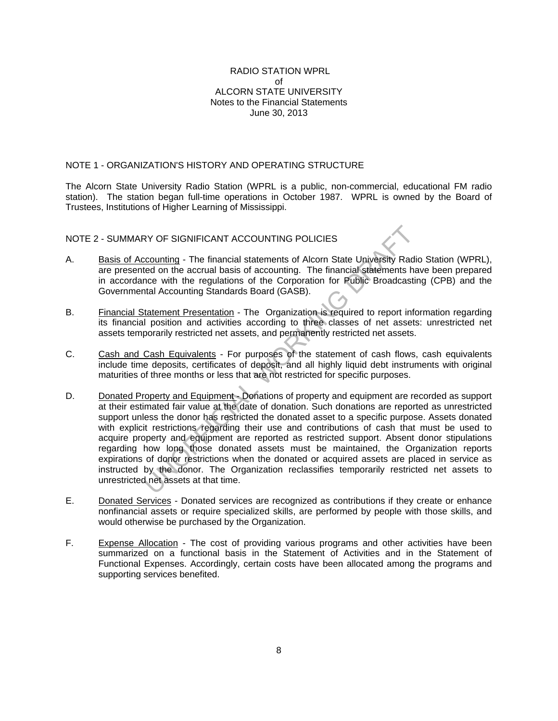### NOTE 1 - ORGANIZATION'S HISTORY AND OPERATING STRUCTURE

The Alcorn State University Radio Station (WPRL is a public, non-commercial, educational FM radio station). The station began full-time operations in October 1987. WPRL is owned by the Board of Trustees, Institutions of Higher Learning of Mississippi.

NOTE 2 - SUMMARY OF SIGNIFICANT ACCOUNTING POLICIES

- A. Basis of Accounting The financial statements of Alcorn State University Radio Station (WPRL), are presented on the accrual basis of accounting. The financial statements have been prepared in accordance with the regulations of the Corporation for Public Broadcasting (CPB) and the Governmental Accounting Standards Board (GASB).
- B. Financial Statement Presentation The Organization is required to report information regarding its financial position and activities according to three classes of net assets: unrestricted net assets temporarily restricted net assets, and permanently restricted net assets.
- C. Cash and Cash Equivalents For purposes of the statement of cash flows, cash equivalents include time deposits, certificates of deposit, and all highly liquid debt instruments with original maturities of three months or less that are not restricted for specific purposes.
- D. Donated Property and Equipment Donations of property and equipment are recorded as support at their estimated fair value at the date of donation. Such donations are reported as unrestricted support unless the donor has restricted the donated asset to a specific purpose. Assets donated with explicit restrictions regarding their use and contributions of cash that must be used to acquire property and equipment are reported as restricted support. Absent donor stipulations regarding how long those donated assets must be maintained, the Organization reports expirations of donor restrictions when the donated or acquired assets are placed in service as instructed by the donor. The Organization reclassifies temporarily restricted net assets to unrestricted net assets at that time. RY OF SIGNIFICANT ACCOUNTING POLICIES<br>
<u>counting</u> - The financial statements of Alcorn State University Raced on the accrual basis of accounting. The financial statements have<br>
net with the regulations of the Corporation f
- E. Donated Services Donated services are recognized as contributions if they create or enhance nonfinancial assets or require specialized skills, are performed by people with those skills, and would otherwise be purchased by the Organization.
- F. Expense Allocation The cost of providing various programs and other activities have been summarized on a functional basis in the Statement of Activities and in the Statement of Functional Expenses. Accordingly, certain costs have been allocated among the programs and supporting services benefited.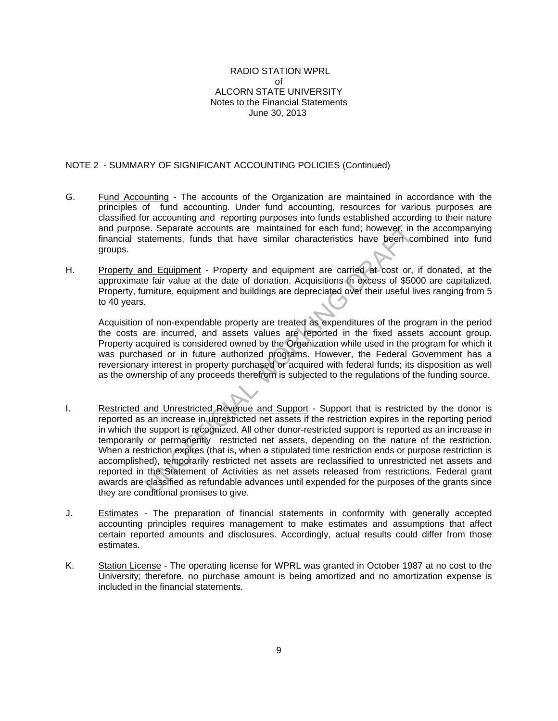#### NOTE 2 - SUMMARY OF SIGNIFICANT ACCOUNTING POLICIES (Continued)

- G. Fund Accounting The accounts of the Organization are maintained in accordance with the principles of fund accounting. Under fund accounting, resources for various purposes are classified for accounting and reporting purposes into funds established according to their nature and purpose. Separate accounts are maintained for each fund; however, in the accompanying financial statements, funds that have similar characteristics have been combined into fund groups.
- H. Property and Equipment Property and equipment are carried at cost or, if donated, at the approximate fair value at the date of donation. Acquisitions in excess of \$5000 are capitalized. Property, furniture, equipment and buildings are depreciated over their useful lives ranging from 5 to 40 years.

Acquisition of non-expendable property are treated as expenditures of the program in the period the costs are incurred, and assets values are reported in the fixed assets account group. Property acquired is considered owned by the Organization while used in the program for which it was purchased or in future authorized programs. However, the Federal Government has a reversionary interest in property purchased or acquired with federal funds; its disposition as well as the ownership of any proceeds therefrom is subjected to the regulations of the funding source.

- I. Restricted and Unrestricted Revenue and Support Support that is restricted by the donor is reported as an increase in unrestricted net assets if the restriction expires in the reporting period in which the support is recognized. All other donor-restricted support is reported as an increase in temporarily or permanently restricted net assets, depending on the nature of the restriction. When a restriction expires (that is, when a stipulated time restriction ends or purpose restriction is accomplished), temporarily restricted net assets are reclassified to unrestricted net assets and reported in the Statement of Activities as net assets released from restrictions. Federal grant awards are classified as refundable advances until expended for the purposes of the grants since they are conditional promises to give. ie. Separate accounts are maintained for each fund; however, in<br>atements, funds that have similar characteristics have been c<br>fait value at the date of donation. Acquisitions in excess of \$5G<br>in firstice, equipment and bui
- J. Estimates The preparation of financial statements in conformity with generally accepted accounting principles requires management to make estimates and assumptions that affect certain reported amounts and disclosures. Accordingly, actual results could differ from those estimates.
- K. Station License The operating license for WPRL was granted in October 1987 at no cost to the University; therefore, no purchase amount is being amortized and no amortization expense is included in the financial statements.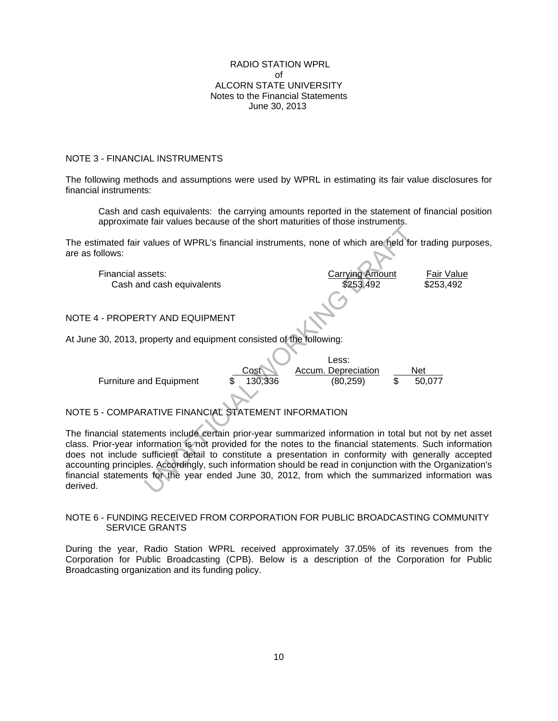#### NOTE 3 - FINANCIAL INSTRUMENTS

The following methods and assumptions were used by WPRL in estimating its fair value disclosures for financial instruments:

Cash and cash equivalents: the carrying amounts reported in the statement of financial position approximate fair values because of the short maturities of those instruments.

The estimated fair values of WPRL's financial instruments, none of which are held for trading purposes, are as follows:

Financial assets: The Carrying Amount Fair Value Cash and cash equivalents  $$253,492$   $$253,492$ 

## NOTE 4 - PROPERTY AND EQUIPMENT

At June 30, 2013, property and equipment consisted of the following:

Furniture and Equipment

|               | Less:               |        |  |
|---------------|---------------------|--------|--|
| Cost          | Accum. Depreciation | Net    |  |
| \$<br>130,336 | (80, 259)           | 50.077 |  |

# NOTE 5 - COMPARATIVE FINANCIAL STATEMENT INFORMATION

The financial statements include certain prior-year summarized information in total but not by net asset class. Prior-year information is not provided for the notes to the financial statements. Such information does not include sufficient detail to constitute a presentation in conformity with generally accepted accounting principles. Accordingly, such information should be read in conjunction with the Organization's financial statements for the year ended June 30, 2012, from which the summarized information was derived. Values of WPRL's financial instruments, none of which are held to<br>ssets:<br>Sesets:<br>University of the policinal instruments of the following:<br>Sessing Amount<br>TTY AND EQUIPMENT<br>roperty and equipment consisted of the following:<br>

#### NOTE 6 - FUNDING RECEIVED FROM CORPORATION FOR PUBLIC BROADCASTING COMMUNITY SERVICE GRANTS

During the year, Radio Station WPRL received approximately 37.05% of its revenues from the Corporation for Public Broadcasting (CPB). Below is a description of the Corporation for Public Broadcasting organization and its funding policy.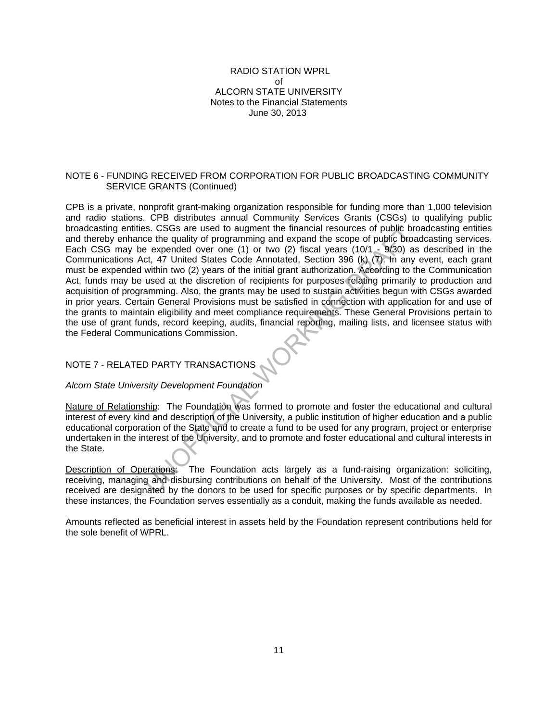## NOTE 6 - FUNDING RECEIVED FROM CORPORATION FOR PUBLIC BROADCASTING COMMUNITY SERVICE GRANTS (Continued)

CPB is a private, nonprofit grant-making organization responsible for funding more than 1,000 television and radio stations. CPB distributes annual Community Services Grants (CSGs) to qualifying public broadcasting entities. CSGs are used to augment the financial resources of public broadcasting entities and thereby enhance the quality of programming and expand the scope of public broadcasting services. Each CSG may be expended over one (1) or two (2) fiscal years (10/1 - 9/30) as described in the Communications Act, 47 United States Code Annotated, Section 396 (k) (7). In any event, each grant must be expended within two (2) years of the initial grant authorization. According to the Communication Act, funds may be used at the discretion of recipients for purposes relating primarily to production and acquisition of programming. Also, the grants may be used to sustain activities begun with CSGs awarded in prior years. Certain General Provisions must be satisfied in connection with application for and use of the grants to maintain eligibility and meet compliance requirements. These General Provisions pertain to the use of grant funds, record keeping, audits, financial reporting, mailing lists, and licensee status with the Federal Communications Commission. So. CSGs are used to augment the financial resources of public biases the quality of programming and expand the scope of public browser estep public broad the scope of public broad test expended over one (1) or two (2) fis

# NOTE 7 - RELATED PARTY TRANSACTIONS

# *Alcorn State University Development Foundation*

Nature of Relationship: The Foundation was formed to promote and foster the educational and cultural interest of every kind and description of the University, a public institution of higher education and a public educational corporation of the State and to create a fund to be used for any program, project or enterprise undertaken in the interest of the University, and to promote and foster educational and cultural interests in the State.

Description of Operations: The Foundation acts largely as a fund-raising organization: soliciting, receiving, managing and disbursing contributions on behalf of the University. Most of the contributions received are designated by the donors to be used for specific purposes or by specific departments. In these instances, the Foundation serves essentially as a conduit, making the funds available as needed.

Amounts reflected as beneficial interest in assets held by the Foundation represent contributions held for the sole benefit of WPRL.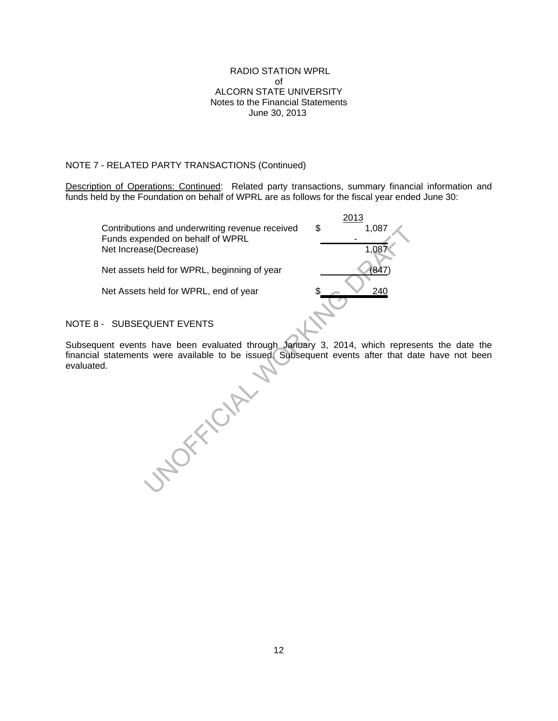## NOTE 7 - RELATED PARTY TRANSACTIONS (Continued)

Description of Operations: Continued: Related party transactions, summary financial information and funds held by the Foundation on behalf of WPRL are as follows for the fiscal year ended June 30:

2013 Contributions and underwriting revenue received \$ 1,087 Funds expended on behalf of WPRL Net Increase(Decrease) 1,087 Net assets held for WPRL, beginning of year (847) Net Assets held for WPRL, end of year \$ \$ 240

# NOTE 8 - SUBSEQUENT EVENTS

Subsequent events have been evaluated through January 3, 2014, which represents the date the financial statements were available to be issued. Subsequent events after that date have not been evaluated. JPOFFICIAL W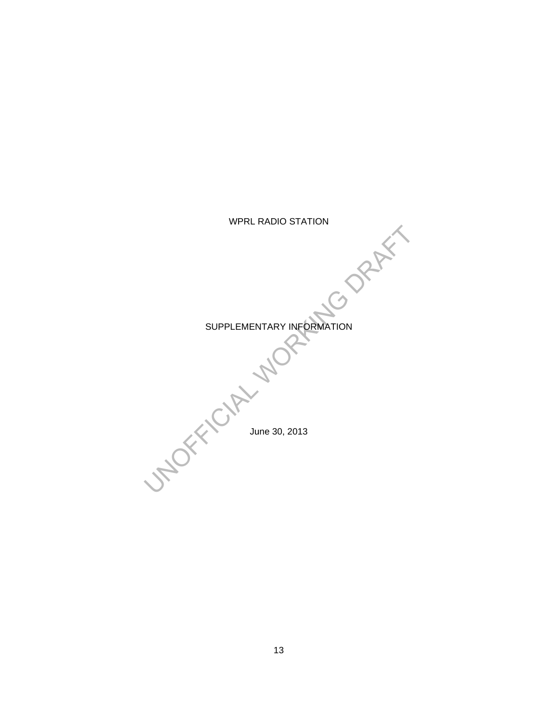WPRL RADIO STATION SUPPLEMENTARY INFORMATION June 30, 2013 SUPPLEMENTARY INFORMATION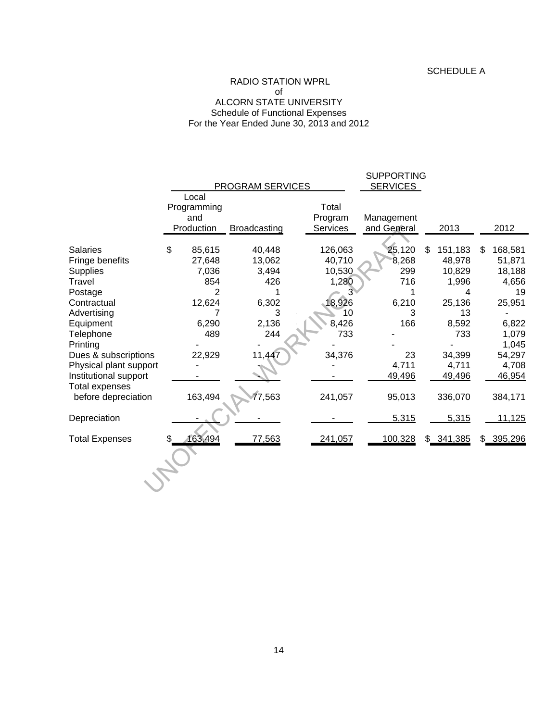## RADIO STATION WPRL of ALCORN STATE UNIVERSITY Schedule of Functional Expenses For the Year Ended June 30, 2013 and 2012

|                        |                |                     |                 | <b>SUPPORTING</b> |               |              |
|------------------------|----------------|---------------------|-----------------|-------------------|---------------|--------------|
|                        | Local          | PROGRAM SERVICES    |                 | <b>SERVICES</b>   |               |              |
|                        | Programming    |                     | Total           |                   |               |              |
|                        | and            |                     | Program         | Management        |               |              |
|                        | Production     | <b>Broadcasting</b> | <b>Services</b> | and General       | 2013          | 2012         |
|                        |                |                     |                 |                   |               |              |
| <b>Salaries</b>        | 85,615<br>\$   | 40,448              | 126,063         | 25,120            | 151,183<br>\$ | 168,581<br>S |
| Fringe benefits        | 27,648         | 13,062              | 40,710          | 8,268             | 48,978        | 51,871       |
| Supplies               | 7,036          | 3,494               | 10,530          | 299               | 10,829        | 18,188       |
| Travel                 | 854            | 426                 | 1,280           | 716               | 1,996         | 4,656        |
| Postage                | 2              |                     |                 | 1                 | 4             | 19           |
| Contractual            | 12,624         | 6,302               | 18,926          | 6,210             | 25,136        | 25,951       |
| Advertising            |                | 3                   | 10              | 3                 | 13            |              |
| Equipment              | 6,290          | 2,136               | 8,426           | 166               | 8,592         | 6,822        |
| Telephone              | 489            | 244                 | 733             |                   | 733           | 1,079        |
| Printing               |                |                     |                 |                   |               | 1,045        |
| Dues & subscriptions   | 22,929         | 11,447              | 34,376          | 23                | 34,399        | 54,297       |
| Physical plant support |                |                     |                 | 4,711             | 4,711         | 4,708        |
| Institutional support  |                |                     |                 | 49,496            | 49,496        | 46,954       |
| Total expenses         |                |                     |                 |                   |               |              |
| before depreciation    | 163,494        | 77,563              | 241,057         | 95,013            | 336,070       | 384,171      |
|                        |                |                     |                 |                   |               |              |
| Depreciation           |                |                     |                 | 5,315             | 5,315         | 11,125       |
|                        |                |                     |                 |                   |               |              |
| <b>Total Expenses</b>  | 163,494<br>\$. | 77,563              | 241,057         | 100,328           | \$ 341,385    | \$ 395,296   |
|                        |                |                     |                 |                   |               |              |
|                        |                |                     |                 |                   |               |              |
|                        |                |                     |                 |                   |               |              |
|                        |                |                     |                 |                   |               |              |